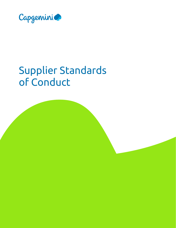

# Supplier Standards of Conduct

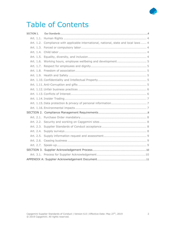# Table of Contents

| SECTION 1. |                                                                                       |
|------------|---------------------------------------------------------------------------------------|
|            |                                                                                       |
|            | Art. 1.2. Compliance with applicable international, national, state and local laws  4 |
|            |                                                                                       |
|            |                                                                                       |
|            |                                                                                       |
|            |                                                                                       |
|            |                                                                                       |
|            |                                                                                       |
|            |                                                                                       |
|            |                                                                                       |
|            |                                                                                       |
|            |                                                                                       |
|            |                                                                                       |
|            |                                                                                       |
|            |                                                                                       |
|            |                                                                                       |
|            |                                                                                       |
|            |                                                                                       |
|            |                                                                                       |
|            |                                                                                       |
|            |                                                                                       |
|            |                                                                                       |
|            |                                                                                       |
|            |                                                                                       |
|            |                                                                                       |
|            |                                                                                       |
|            |                                                                                       |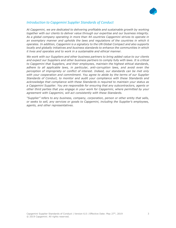

#### Introduction to Capgemini Supplier Standards of Conduct

At Capgemini, we are dedicated to delivering profitable and sustainable growth by working together with our clients to deliver value through our expertise and our business integrity. As a global company operating in more than 44 countries Capgemini strives to operate in an exemplary manner and upholds the laws and regulations of the countries in which it operates. In addition, Capgemini is a signatory to the UN Global Compact and also supports locally and globally initiatives and business standards to enhance the communities in which it lives and operates and to work in a sustainable and ethical manner.

We work with our Suppliers and other business partners to bring added value to our clients and expect our Suppliers and other business partners to comply fully with laws. It is critical to Capgemini that Suppliers, and their employees, maintain the highest ethical standards, adhere to all applicable laws, in particular, anti-corruption laws, and avoid even the perception of impropriety or conflict of interest. Indeed, our standards can be met only with your cooperation and commitment. You agree to abide by the terms of our Supplier Standards of Conduct, to monitor and audit your compliance with these Standards and acknowledge that compliance with these Standards is required to maintain your status as a Capgemini Supplier. You are responsible for ensuring that any subcontractors, agents or other third parties that you engage in your work for Capgemini, where permitted by your agreement with Capgemini, will act consistently with these Standards.

"Supplier" refers to any business, company, corporation, person or other entity that sells, or seeks to sell, any services or goods to Capgemini, including the Supplier's employees, agents, and other representatives.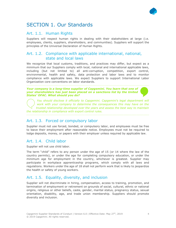# SECTION 1. Our Standards

#### Art. 1.1. Human Rights

Suppliers will respect human rights in dealing with their stakeholders at large (i.e. employees, clients, suppliers, shareholders, and communities). Suppliers will support the principles of the Universal Declaration of Human Rights.

#### Art. 1.2. Compliance with applicable international, national, state and local laws

We recognize that local customs, traditions, and practices may differ, but expect as a minimum that our Suppliers comply with local, national and international applicable laws, including (but not limited to) all anti-corruption, competition, export control, environmental, health and safety, data protection and labor laws and to monitor compliance with applicable laws. We expect Suppliers to support International Labor Organization core conventions on labor standards.

Your company is a long-time supplier of Capgemini. You learn that one of your shareholders has just been placed on a sanctions list by the United States' OFAC. What should you do?

You should disclose it officially to Capgemini. Capgemini's legal department will work with your company to determine the consequences this may have on the trusted relationship developed over the years and assess the best way to maintain the relationship in compliance with export control rules.

#### Art. 1.3. Forced or compulsory labor

Supplier must not use forced, bonded, or compulsory labor, and employees must be free to leave their employment after reasonable notice. Employees must not be required to lodge deposits, money, or papers with their employer unless required by applicable law.

#### Art. 1.4. Child labor

Supplier will not use child labor.

The term "child" refers to any person under the age of 15 (or 14 where the law of the country permits), or under the age for completing compulsory education, or under the minimum age for employment in the country, whichever is greatest. Supplier may participate in workplace apprenticeship programs, which comply with all laws and regulations. Workers under the age of 18 shall not perform work that is likely to jeopardize the health or safety of young workers.

#### Art. 1.5. Equality, diversity, and inclusion

Supplier will not discriminate in hiring, compensation, access to training, promotion, and termination of employment or retirement on grounds of social, cultural, ethnic or national origins, religious or other beliefs, caste, gender, marital status, pregnancy status, sexual orientation, disability, age, and trade union membership. Suppliers should promote diversity and inclusion.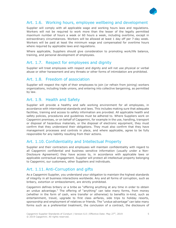

Supplier will comply with all applicable wage and working hours laws and regulations. Workers will not be required to work more than the lesser of the legally permitted maximum number of hours a week or 60 hours a week, including overtime, except in extraordinary circumstances. Workers will be allowed at least 1 day off per 7-day week. Workers will be paid at least the minimum wage and compensated for overtime hours where required by applicable laws and regulations.

Where applicable, Suppliers should give consideration to promoting work/life balance, training, and personal development of employees.

#### Art. 1.7. Respect for employees and dignity

Supplier will treat employees with respect and dignity and will not use physical or verbal abuse or other harassment and any threats or other forms of intimidation are prohibited.

#### Art. 1.8. Freedom of association

Supplier will respect the right of their employees to join (or refrain from joining) workers organizations, including trade unions, and entering into collective bargaining, as permitted by law.

#### Art. 1.9. Health and Safety

Supplier will provide a healthy and safe working environment for all employees, in accordance with international standards and laws. This includes making sure that adequate facilities, training and access to safety information are provided. All applicable health and safety policies, procedures and guidelines must be adhered to. Where Suppliers work on Capgemini premises, or on behalf of Capgemini, for example in the use, handling, transport or disposal of hazardous materials, or the disposal of electronic equipment, they must confirm that they understand their obligations. They must also confirm that they have management processes and controls in place, and where applicable, agree to be fully responsible for any liability resulting from their actions.

#### Art. 1.10. Confidentiality and Intellectual Property

Supplier and their contractors and employees will maintain confidentiality with regard to all Capgemini confidential and business sensitive information (usually under a Non-Disclosure Agreement) they have access to, in accordance with applicable laws or applicable contractual engagement. Supplier will protect all intellectual property belonging to Capgemini, our customers, other Suppliers and individuals.

#### Art. 1.11. Anti-Corruption and gifts

As a Capgemini Supplier, you understand your obligation to maintain the highest standards of integrity in all business interactions worldwide. Any and all forms of corruption, such as bribery, extortion or embezzlement, are strictly prohibited.

Capgemini defines bribery or a bribe as "offering anything at any time in order to obtain an undue advantage." The offering of "anything" can take many forms, from money (whether in the form of cash, wire transfer or otherwise) to benefits in-kind, such as entertainment, travel, upgrade to first class airfares, side trips to holiday resorts, sponsorship and employment of relatives or friends. The "undue advantage" can take many forms such as a preferential treatment, the conclusion of a contract, the disclosure of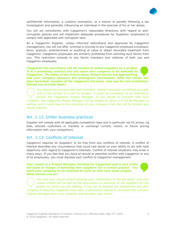

confidential information, a customs exemption, or a waiver of penalty following a tax investigation and generally influencing an individual in the exercise of his or her duties.

You will act consistently with Capgemini's reasonable directions with regard to anticorruption policies and will implement adequate procedures for Suppliers' employees to comply with applicable anti-corruption laws.

As a Capgemini Supplier, unless informed beforehand and approved by Capgemini management, you will not offer, promise or provide to any Capgemini employee a kickback, favor, gratuity, entertainment or anything of value to obtain favorable treatment from Capgemini. Capgemini employees are similarly prohibited from soliciting such favors from you. This restriction extends to any family members and relatives of both you and Capgemini employees.

Capgemini has launched a call for tenders to select suppliers on a project. It is a promising contract and you want your company to be selected by Capgemini. The dates of the French Open, Roland Garros are approaching, and your company sponsors this prestigious tournament. After the tender has been launched, member of the Capgemini bid team, asks you for two invitations. Should you provide them?

You should not proceed with such invitation. Doing it would be considered as a gift, and in the context of a call for tenders, it could be considered as an attempt to corrupt the Capgemini Project Manager. If you decide to proceed with such invitation, the Capgemini Project Manager will be obliged to report it to his BU Manager in writing, and it could lead to the exclusion of your company from the call for tenders and future projects.

#### Art. 1.12. Unfair business practices

Supplier will comply with all applicable competition laws and in particular not fix prices, rig bids, allocate customers or markets or exchange current, recent, or future pricing information with your competitors.

#### Art. 1.13. Conflicts of Interest

Capgemini requires its Suppliers' to be free from any conflicts of interest. A conflict of interest describes any circumstance that could cast doubt on your ability to act with total objectivity with regard to Capgemini's interests. Conflict of interest situations may arise in many ways. If you feel that you have an actual or potential conflict with Capgemini or any of its employees, you must disclose such conflict to Capgemini management.

Your cousin is a Project Manager working for Capgemini and is part of the bid team in charge of selecting new suppliers for a certain project. You want your company to be selected to work on that very same project. What should you do?

You and your cousin should disclose your relationship to the bid team, and your cousin should not be part of the discussions or selection of the suppliers for the project on which you are bidding. If you fail to disclose the relationship and your company is selected, Capgemini may later, if discovered, decide to terminate the contract, request damages from your company and sanction your cousin.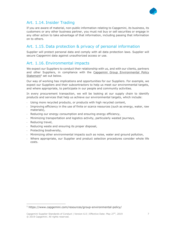

If you are aware of material, non-public information relating to Capgemini, its business, its customers or any other business partner, you must not buy or sell securities or engage in any other action to take advantage of that information, including passing that information on to others.

#### Art. 1.15. Data protection & privacy of personal information

Supplier will protect personal data and comply with all data protection laws. Supplier will secure Capgemini data against unauthorized access or use.

#### Art. 1.16. Environmental impacts

We expect our Suppliers to conduct their relationship with us, and with our clients, partners and other Suppliers, in compliance with the Capgemini Group Environmental Policy Statement<sup>1</sup> set out below.

Our way of working has implications and opportunities for our Suppliers. For example, we expect our Suppliers and their subcontractors to help us meet our environmental targets, and where appropriate, to participate in our people and community activities.

In every procurement transaction, we will be looking at our supply chain to identify products and services that help us achieve our environmental targets, which include:

- Using more recycled products, or products with high recycled content,
- Improving efficiency in the use of finite or scarce resources (such as energy, water, raw materials),
- Reducing our energy consumption and ensuring energy efficiency,
- Minimizing transportation and logistics activity, particularly wasted journeys,
- Reducing travel,
- Reducing waste and ensuring its proper disposal,
- Protecting biodiversity,
- Minimizing other environmental impacts such as noise, water and ground pollution,
- Where appropriate, our Supplier and product selection procedures consider whole life costs.

<sup>1</sup> https://www.capgemini.com/resources/group-environmental-policy/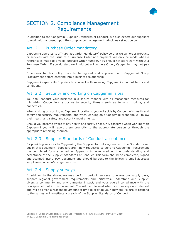### SECTION 2. Compliance Management Requirements

In addition to the Capgemini Supplier Standards of Conduct, we also expect our suppliers to work with us based upon the compliance management principles set out below:

#### Art. 2.1. Purchase Order mandatory

Capgemini operates to a "Purchase Order Mandatory" policy so that we will order products or services with the issue of a Purchase Order and payment will only be made when a reference is made to a valid Purchase Order number. You should not start work without a Purchase Order. If you do start work without a Purchase Order, Capgemini may not pay you.

Exceptions to this policy have to be agreed and approved with Capgemini Group Procurement before entering into a business relationship.

Capgemini expects its Suppliers to contract with us using Capgemini standard terms and conditions.

#### Art. 2.2. Security and working on Capgemini sites

You shall conduct your business in a secure manner with all reasonable measures for minimizing Capgemini's exposure to security threats such as terrorism, crime, and pandemics.

When visiting or working at Capgemini locations, you will abide by Capgemini's health and safety and security requirements, and when working on a Capgemini client site will follow their health and safety and security requirements.

Should you become aware of any health and safety or security concerns when working with Capgemini you will report them promptly to the appropriate person or through the appropriate reporting channel.

#### Art. 2.3. Supplier Standards of Conduct acceptance

By providing services to Capgemini, the Supplier formally agrees with the Standards set out in this document. Suppliers are kindly requested to send to Capgemini Procurement the completed form attached as Appendix A, acknowledging the understanding and acceptance of the Supplier Standards of Conduct. This form should be completed, signed and scanned into a PDF document and should be sent to the following email address: supplierresponse.in@capgemini.com

#### Art. 2.4. Supply surveys

In addition to the above, we may perform periodic surveys to assess our supply base, support regional government requirements and initiatives, understand our Supplier diversity community and environmental impact, and your overall compliance with the principles set out in this document. You will be informed when such surveys are released and will be given a reasonable amount of time to provide your answers. Failure to respond to the survey will constitute a breach of the Supplier Standards of Conduct.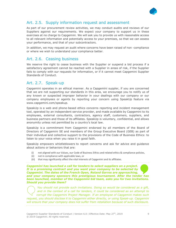

#### Art. 2.5. Supply information request and assessment

As part of our procurement review activities, we may conduct audits and reviews of our Suppliers against our requirements. We expect your company to support us in these exercises at no charge to Capgemini. We will ask you to provide us with reasonable access to all relevant information and potentially access to your premises, so that we can assess your performance, and that of your subcontractors.

In addition, we may request an audit where concerns have been raised of non -compliance or where we wish to understand your compliance better.

#### Art. 2.6. Ceasing business

We reserve the right to cease business with the Supplier or suspend a bid process if a satisfactory agreement cannot be reached with a Supplier in areas of risk, if the Supplier fails to comply with our requests for information, or if it cannot meet Capgemini Supplier Standards of Conduct.

#### Art. 2.7. Speak-up

Capgemini operates in an ethical manner. As a Capgemini suppler, if you are concerned that we are not supporting our standards in this area, we encourage you to notify us of any known or suspected improper behavior in your dealings with our company or our company employees or agents by reporting your concern using SpeakUp feature via www.capgemini.com/speakup.

SpeakUp is a web and phone-based ethics concerns reporting and incident management tool, operated by an independent service provider, and made available by Capgemini to its employees, external consultants, contractors, agency staff, customers, suppliers, and business partners and those of its affiliates. SpeakUp is voluntary, confidential, and allows anonymity unless not permitted by a country's local law.

SpeakUp is a commitment from Capgemini endorsed by all members of the Board of Directors of Capgemini SE and members of the Group Executive Board (GEB) as part of their individual and collective support to the provisions of the Code of Business Ethics: to listen to your voice when you raise it in good faith.

SpeakUp empowers whistleblowers to report concerns and ask for advice and guidance about actions or behaviors that are:

- (i) not aligned with our Values, our Code of Business Ethics and related ethics & compliance policies,
- (ii) not in compliance with applicable laws, or
- (iii) that may significantly affect the vital interests of Capgemini and its affiliates.

Capgemini has launched a call for tenders to select suppliers on a project. It is a promising contract and you want your company to be selected by Capgemini. The dates of the French Open, Roland Garros are approaching, and your company sponsors this prestigious tournament. After the tender has been launched, member of the Capgemini bid team, asks you for two invitations. Should you provide them?

You should not provide such invitations. Doing so would be considered as a gift, and in the context of a call for tenders, it could be considered as an attempt to corrupt the Capgemini Project Manager. If an employee of Capgemini makes such request, you should disclose it to Capgemini either directly, or using Speak-up. Capgemini will ensure that your company does not suffer from retaliation because of such disclosure.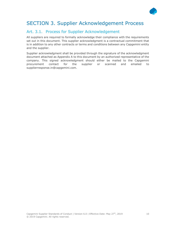

#### Art. 3.1. Process for Supplier Acknowledgement

All suppliers are required to formally acknowledge their compliance with the requirements set out in this document. This supplier acknowledgment is a contractual commitment that is in addition to any other contracts or terms and conditions between any Capgemini entity and the supplier.

Supplier acknowledgment shall be provided through the signature of the acknowledgment document attached as Appendix A to this document by an authorized representative of the company. This signed acknowledgment should either be mailed to the Capgemini procurement contact for the supplier or scanned and emailed to supplierresponse.in@capgemini.com.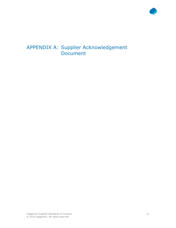

## APPENDIX A: Supplier Acknowledgement Document